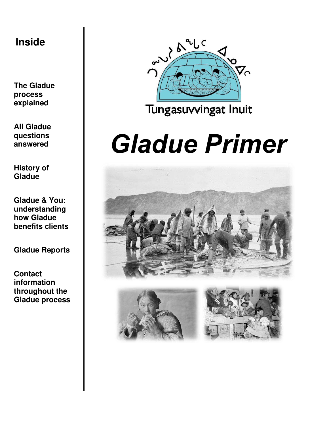#### **Inside**

**The Gladue process explained** 

**All Gladue questions answered** 

**History of Gladue** 

**Gladue & You: understanding how Gladue benefits clients** 

**Gladue Reports** 

**Contact information throughout the Gladue process**

**Tungasuvvingat** 



#### Tungasuvvingat Inuit

# *Gladue Primer*

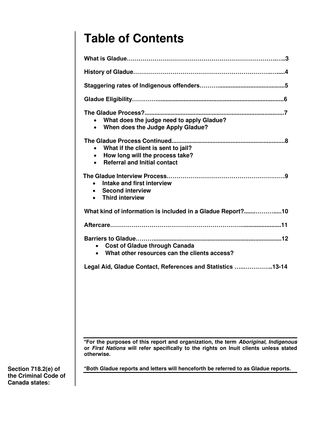### **Table of Contents**

| What does the judge need to apply Gladue?<br>When does the Judge Apply Gladue?<br>$\bullet$                                                          |
|------------------------------------------------------------------------------------------------------------------------------------------------------|
| What if the client is sent to jail?<br>$\bullet$<br>How long will the process take?<br>$\bullet$<br><b>Referral and Initial contact</b><br>$\bullet$ |
| Intake and first interview<br>$\bullet$<br><b>Second interview</b><br>$\bullet$<br><b>Third interview</b><br>$\bullet$                               |
| What kind of information is included in a Gladue Report?10                                                                                           |
|                                                                                                                                                      |
| <b>Cost of Gladue through Canada</b><br>What other resources can the clients access?<br>$\bullet$                                                    |
| Legal Aid, Gladue Contact, References and Statistics 13-14                                                                                           |
|                                                                                                                                                      |

**\*For the purposes of this report and organization, the term Aboriginal, Indigenous or First Nations will refer specifically to the rights on Inuit clients unless stated otherwise.** 

**\*Both Gladue reports and letters will henceforth be referred to as Gladue reports.** 

**Section 718.2(e) of the Criminal Code of Canada states:**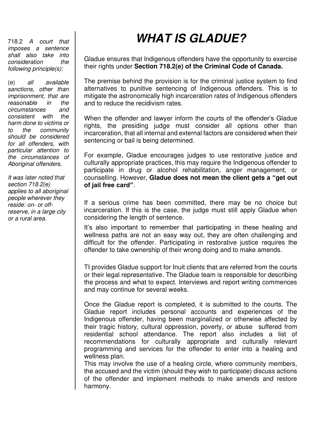718.2 *A court that imposes a sentence shall also take into consideration the following principle(s):* 

(e) *all available sanctions, other than imprisonment, that are reasonable in the circumstances and consistent with the harm done to victims or to the community should be considered for all offenders, with particular attention to the circumstances of Aboriginal offenders.*

*It was later noted that section 718.2(e) applies to all aboriginal people wherever they reside: on- or offreserve, in a large city or a rural area.*

## **WHAT IS GLADUE?**

Gladue ensures that Indigenous offenders have the opportunity to exercise their rights under **Section 718.2(e) of the Criminal Code of Canada.**

The premise behind the provision is for the criminal justice system to find alternatives to punitive sentencing of Indigenous offenders. This is to mitigate the astronomically high incarceration rates of Indigenous offenders and to reduce the recidivism rates.

When the offender and lawyer inform the courts of the offender's Gladue rights, the presiding judge must consider all options other than incarceration, that all internal and external factors are considered when their sentencing or bail is being determined.

For example, Gladue encourages judges to use restorative justice and culturally appropriate practices, this may require the Indigenous offender to participate in drug or alcohol rehabilitation, anger management, or counselling. However, **Gladue does not mean the client gets a "get out of jail free card"**.

If a serious crime has been committed, there may be no choice but incarceration. If this is the case, the judge must still apply Gladue when considering the length of sentence.

It's also important to remember that participating in these healing and wellness paths are not an easy way out, they are often challenging and difficult for the offender. Participating in restorative justice requires the offender to take ownership of their wrong doing and to make amends.

TI provides Gladue support for Inuit clients that are referred from the courts or their legal representative. The Gladue team is responsible for describing the process and what to expect. Interviews and report writing commences and may continue for several weeks.

Once the Gladue report is completed, it is submitted to the courts. The Gladue report includes personal accounts and experiences of the Indigenous offender, having been marginalized or otherwise affected by their tragic history, cultural oppression, poverty, or abuse suffered from residential school attendance. The report also includes a list of recommendations for culturally appropriate and culturally relevant programming and services for the offender to enter into a healing and wellness plan.

This may involve the use of a healing circle, where community members, the accused and the victim (should they wish to participate) discuss actions of the offender and implement methods to make amends and restore harmony.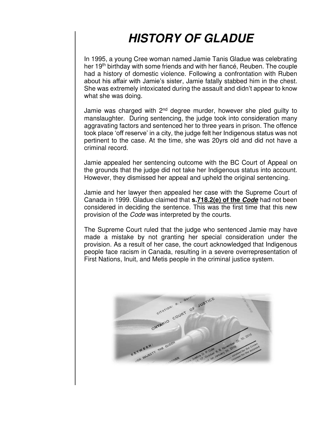### **HISTORY OF GLADUE**

In 1995, a young Cree woman named Jamie Tanis Gladue was celebrating her 19<sup>th</sup> birthday with some friends and with her fiancé, Reuben. The couple had a history of domestic violence. Following a confrontation with Ruben about his affair with Jamie's sister, Jamie fatally stabbed him in the chest. She was extremely intoxicated during the assault and didn't appear to know what she was doing.

Jamie was charged with  $2<sup>nd</sup>$  degree murder, however she pled quilty to manslaughter. During sentencing, the judge took into consideration many aggravating factors and sentenced her to three years in prison. The offence took place 'off reserve' in a city, the judge felt her Indigenous status was not pertinent to the case. At the time, she was 20yrs old and did not have a criminal record.

Jamie appealed her sentencing outcome with the BC Court of Appeal on the grounds that the judge did not take her Indigenous status into account. However, they dismissed her appeal and upheld the original sentencing.

Jamie and her lawyer then appealed her case with the Supreme Court of Canada in 1999. Gladue claimed that **s[.718.2\(e\) of the](http://canlii.org/en/ca/laws/stat/rsc-1985-c-c-46/latest/rsc-1985-c-c-46.html#sec718.2) Code** had not been considered in deciding the sentence. This was the first time that this new provision of the *Code* was interpreted by the courts.

The Supreme Court ruled that the judge who sentenced Jamie may have made a mistake by not granting her special consideration under the provision. As a result of her case, the court acknowledged that Indigenous people face racism in Canada, resulting in a severe overrepresentation of First Nations, Inuit, and Metis people in the criminal justice system.

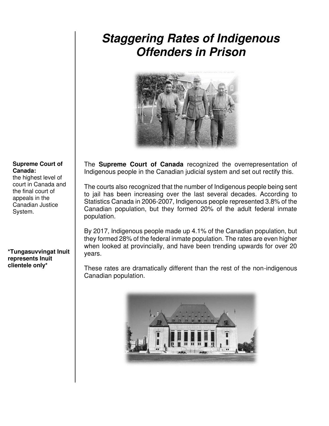#### **Staggering Rates of Indigenous Offenders in Prison**



The **Supreme Court of Canada** recognized the overrepresentation of Indigenous people in the Canadian judicial system and set out rectify this.

The courts also recognized that the number of Indigenous people being sent to jail has been increasing over the last several decades. According to Statistics Canada in 2006-2007, Indigenous people represented 3.8% of the Canadian population, but they formed 20% of the adult federal inmate population.

By 2017, Indigenous people made up 4.1% of the Canadian population, but they formed 28% of the federal inmate population. The rates are even higher when looked at provincially, and have been trending upwards for over 20 years.

These rates are dramatically different than the rest of the non-indigenous Canadian population.



#### **Supreme Court of Canada:**

the highest level of court in Canada and the final court of appeals in the Canadian Justice System.

**\*Tungasuvvingat Inuit represents Inuit clientele only\***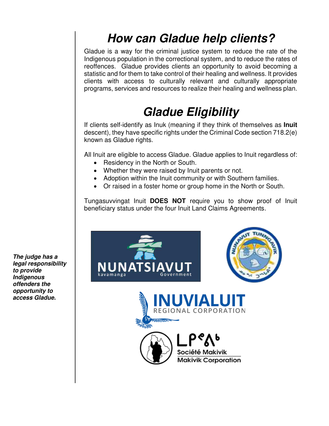### **How can Gladue help clients?**

Gladue is a way for the criminal justice system to reduce the rate of the Indigenous population in the correctional system, and to reduce the rates of reoffences. Gladue provides clients an opportunity to avoid becoming a statistic and for them to take control of their healing and wellness. It provides clients with access to culturally relevant and culturally appropriate programs, services and resources to realize their healing and wellness plan.

### **Gladue Eligibility**

If clients self-identify as Inuk (meaning if they think of themselves as **Inuit**  descent), they have specific rights under the Criminal Code section 718.2(e) known as Gladue rights.

All Inuit are eligible to access Gladue. Gladue applies to Inuit regardless of:

- Residency in the North or South.
- Whether they were raised by Inuit parents or not.
- Adoption within the Inuit community or with Southern families.
- Or raised in a foster home or group home in the North or South.

Tungasuvvingat Inuit **DOES NOT** require you to show proof of Inuit beneficiary status under the four Inuit Land Claims Agreements.



**The judge has a legal responsibility to provide Indigenous offenders the opportunity to access Gladue.**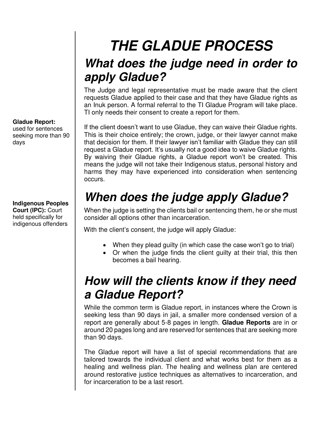# **THE GLADUE PROCESS**

#### **What does the judge need in order to apply Gladue?**

The Judge and legal representative must be made aware that the client requests Gladue applied to their case and that they have Gladue rights as an Inuk person. A formal referral to the TI Gladue Program will take place. TI only needs their consent to create a report for them.

If the client doesn't want to use Gladue, they can waive their Gladue rights. This is their choice entirely; the crown, judge, or their lawyer cannot make that decision for them. If their lawyer isn't familiar with Gladue they can still request a Gladue report. It's usually not a good idea to waive Gladue rights. By waiving their Gladue rights, a Gladue report won't be created. This means the judge will not take their Indigenous status, personal history and harms they may have experienced into consideration when sentencing occurs.

### **When does the judge apply Gladue?**

When the judge is setting the clients bail or sentencing them, he or she must consider all options other than incarceration.

With the client's consent, the judge will apply Gladue:

- When they plead guilty (in which case the case won't go to trial)
- Or when the judge finds the client guilty at their trial, this then becomes a bail hearing.

#### **How will the clients know if they need a Gladue Report?**

While the common term is Gladue report, in instances where the Crown is seeking less than 90 days in jail, a smaller more condensed version of a report are generally about 5-8 pages in length. **Gladue Reports** are in or around 20 pages long and are reserved for sentences that are seeking more than 90 days.

The Gladue report will have a list of special recommendations that are tailored towards the individual client and what works best for them as a healing and wellness plan. The healing and wellness plan are centered around restorative justice techniques as alternatives to incarceration, and for incarceration to be a last resort.

#### **Gladue Report:**

used for sentences seeking more than 90 days

#### **Indigenous Peoples Court (IPC):** Court held specifically for indigenous offenders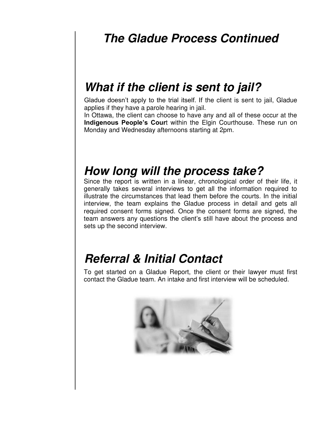### **The Gladue Process Continued**

#### **What if the client is sent to jail?**

Gladue doesn't apply to the trial itself. If the client is sent to jail, Gladue applies if they have a parole hearing in jail.

In Ottawa, the client can choose to have any and all of these occur at the **Indigenous People's Cour**t within the Elgin Courthouse. These run on Monday and Wednesday afternoons starting at 2pm.

### **How long will the process take?**

Since the report is written in a linear, chronological order of their life, it generally takes several interviews to get all the information required to illustrate the circumstances that lead them before the courts. In the initial interview, the team explains the Gladue process in detail and gets all required consent forms signed. Once the consent forms are signed, the team answers any questions the client's still have about the process and sets up the second interview.

### **Referral & Initial Contact**

To get started on a Gladue Report, the client or their lawyer must first contact the Gladue team. An intake and first interview will be scheduled.

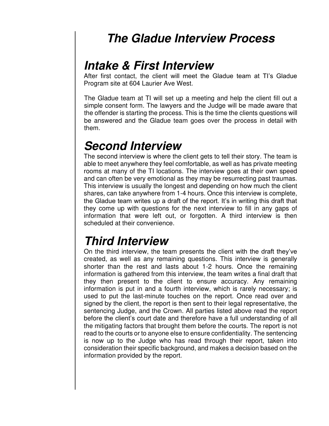#### **The Gladue Interview Process**

### **Intake & First Interview**

After first contact, the client will meet the Gladue team at TI's Gladue Program site at 604 Laurier Ave West.

The Gladue team at TI will set up a meeting and help the client fill out a simple consent form. The lawyers and the Judge will be made aware that the offender is starting the process. This is the time the clients questions will be answered and the Gladue team goes over the process in detail with them.

### **Second Interview**

The second interview is where the client gets to tell their story. The team is able to meet anywhere they feel comfortable, as well as has private meeting rooms at many of the TI locations. The interview goes at their own speed and can often be very emotional as they may be resurrecting past traumas. This interview is usually the longest and depending on how much the client shares, can take anywhere from 1-4 hours. Once this interview is complete, the Gladue team writes up a draft of the report. It's in writing this draft that they come up with questions for the next interview to fill in any gaps of information that were left out, or forgotten. A third interview is then scheduled at their convenience.

### **Third Interview**

On the third interview, the team presents the client with the draft they've created, as well as any remaining questions. This interview is generally shorter than the rest and lasts about 1-2 hours. Once the remaining information is gathered from this interview, the team writes a final draft that they then present to the client to ensure accuracy. Any remaining information is put in and a fourth interview, which is rarely necessary; is used to put the last-minute touches on the report. Once read over and signed by the client, the report is then sent to their legal representative, the sentencing Judge, and the Crown. All parties listed above read the report before the client's court date and therefore have a full understanding of all the mitigating factors that brought them before the courts. The report is not read to the courts or to anyone else to ensure confidentiality. The sentencing is now up to the Judge who has read through their report, taken into consideration their specific background, and makes a decision based on the information provided by the report.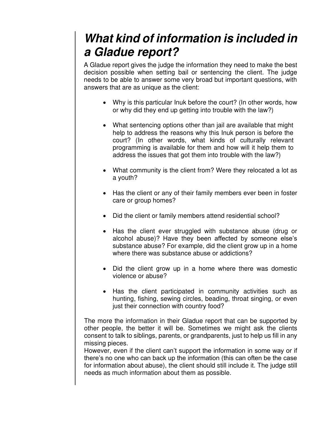### **What kind of information is included in a Gladue report?**

A Gladue report gives the judge the information they need to make the best decision possible when setting bail or sentencing the client. The judge needs to be able to answer some very broad but important questions, with answers that are as unique as the client:

- Why is this particular Inuk before the court? (In other words, how or why did they end up getting into trouble with the law?)
- What sentencing options other than jail are available that might help to address the reasons why this Inuk person is before the court? (In other words, what kinds of culturally relevant programming is available for them and how will it help them to address the issues that got them into trouble with the law?)
- What community is the client from? Were they relocated a lot as a youth?
- Has the client or any of their family members ever been in foster care or group homes?
- Did the client or family members attend residential school?
- Has the client ever struggled with substance abuse (drug or alcohol abuse)? Have they been affected by someone else's substance abuse? For example, did the client grow up in a home where there was substance abuse or addictions?
- Did the client grow up in a home where there was domestic violence or abuse?
- Has the client participated in community activities such as hunting, fishing, sewing circles, beading, throat singing, or even just their connection with country food?

The more the information in their Gladue report that can be supported by other people, the better it will be. Sometimes we might ask the clients consent to talk to siblings, parents, or grandparents, just to help us fill in any missing pieces.

However, even if the client can't support the information in some way or if there's no one who can back up the information (this can often be the case for information about abuse), the client should still include it. The judge still needs as much information about them as possible.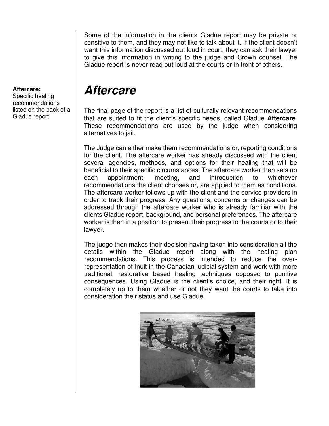Some of the information in the clients Gladue report may be private or sensitive to them, and they may not like to talk about it. If the client doesn't want this information discussed out loud in court, they can ask their lawyer to give this information in writing to the judge and Crown counsel. The Gladue report is never read out loud at the courts or in front of others.

#### **Aftercare**

The final page of the report is a list of culturally relevant recommendations that are suited to fit the client's specific needs, called Gladue **Aftercare**. These recommendations are used by the judge when considering alternatives to jail.

The Judge can either make them recommendations or, reporting conditions for the client. The aftercare worker has already discussed with the client several agencies, methods, and options for their healing that will be beneficial to their specific circumstances. The aftercare worker then sets up each appointment, meeting, and introduction to whichever recommendations the client chooses or, are applied to them as conditions. The aftercare worker follows up with the client and the service providers in order to track their progress. Any questions, concerns or changes can be addressed through the aftercare worker who is already familiar with the clients Gladue report, background, and personal preferences. The aftercare worker is then in a position to present their progress to the courts or to their lawyer.

The judge then makes their decision having taken into consideration all the details within the Gladue report along with the healing plan recommendations. This process is intended to reduce the overrepresentation of Inuit in the Canadian judicial system and work with more traditional, restorative based healing techniques opposed to punitive consequences. Using Gladue is the client's choice, and their right. It is completely up to them whether or not they want the courts to take into consideration their status and use Gladue.



#### **Aftercare:**

Specific healing recommendations listed on the back of a Gladue report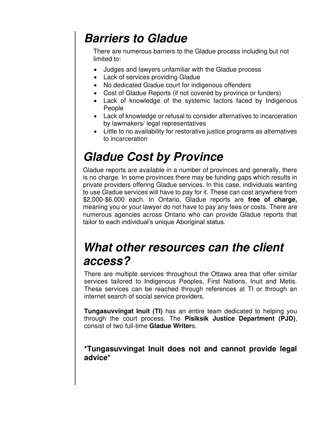### **Barriers to Gladue**

There are numerous barriers to the Gladue process including but not limited to:

- Judges and lawyers unfamiliar with the Gladue process
- Lack of services providing Gladue
- No dedicated Gladue court for indigenous offenders
- Cost of Gladue Reports (if not covered by province or funders)
- Lack of knowledge of the systemic factors faced by Indigenous People
- Lack of knowledge or refusal to consider alternatives to incarceration by lawmakers/ legal representatives
- Little to no availability for restorative justice programs as alternatives to incarceration

### **Gladue Cost by Province**

Gladue reports are available in a number of provinces and generally, there is no charge. In some provinces there may be funding gaps which results in private providers offering Gladue services. In this case, individuals wanting to use Gladue services will have to pay for it. These can cost anywhere from \$2,000-\$6,000 each. In Ontario, Gladue reports are **free of charge,**  meaning you or your lawyer do not have to pay any fees or costs. There are numerous agencies across Ontario who can provide Gladue reports that tailor to each individual's unique Aboriginal status.

#### **What other resources can the client access?**

There are multiple services throughout the Ottawa area that offer similar services tailored to Indigenous Peoples, First Nations, Inuit and Metis. These services can be reached through references at TI or through an internet search of social service providers.

**Tungasuvvingat Inuit (TI)** has an entire team dedicated to helping you through the court process. The **Pisiksik Justice Department (PJD)**, consist of two full-time **Gladue Writer**s.

**\*Tungasuvvingat Inuit does not and cannot provide legal advice\***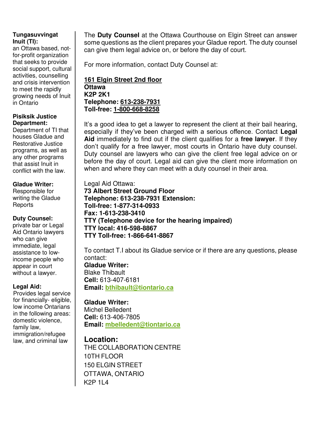#### **Tungasuvvingat Inuit (TI):**

an Ottawa based, notfor-profit organization that seeks to provide social support, cultural activities, counselling and crisis intervention to meet the rapidly growing needs of Inuit in Ontario

#### **Pisiksik Justice Department:**

Department of TI that houses Gladue and Restorative Justice programs, as well as any other programs that assist Inuit in conflict with the law.

#### **Gladue Writer:**

Responsible for writing the Gladue **Reports** 

#### **Duty Counsel:**

private bar or Legal Aid Ontario lawyers who can give immediate, legal assistance to lowincome people who appear in court without a lawyer.

#### **Legal Aid:**

Provides legal service for financially- eligible, low income Ontarians in the following areas: domestic violence, family law, immigration/refugee law, and criminal law

The **Duty Counsel** at the Ottawa Courthouse on Elgin Street can answer some questions as the client prepares your Gladue report. The duty counsel can give them legal advice on, or before the day of court.

For more information, contact Duty Counsel at:

#### **[161 Elgin Street 2nd floor](https://www.google.com/maps/dir/?api=1&destination=161+Elgin+Street++Ottawa++K2P+2K1&travelmode=transit)  Ottawa K2P 2K1 Telephone: [613-238-7931](tel:+1-613-238-7931)  Toll-free: [1-800-668-8258](tel:+1-800-668-8258)**

It's a good idea to get a lawyer to represent the client at their bail hearing, especially if they've been charged with a serious offence. Contact **Legal Aid** immediately to find out if the client qualifies for a **free lawyer**. If they don't qualify for a free lawyer, most courts in Ontario have duty counsel. Duty counsel are lawyers who can give the client free legal advice on or before the day of court. Legal aid can give the client more information on when and where they can meet with a duty counsel in their area.

Legal Aid Ottawa: **73 Albert Street Ground Floor Telephone: 613-238-7931 Extension: Toll-free: 1-877-314-0933 Fax: 1-613-238-3410 TTY (Telephone device for the hearing impaired) TTY local: 416-598-8867 TTY Toll-free: 1-866-641-8867** 

To contact T.I about its Gladue service or if there are any questions, please contact: **Gladue Writer:**  Blake Thibault **Cell:** 613-407-6181 **Email: [bthibault@tiontario.ca](mailto:bthibault@tiontario.ca)**

#### **Gladue Writer:**

Michel Belledent **Cell:** 613-406-7805 **Email: [mbelledent@tiontario.ca](mailto:mbelledent@tiontario.ca)** 

#### **Location:**

THE COLLABORATION CENTRE 10TH FLOOR 150 ELGIN STREET OTTAWA, ONTARIO K2P 1L4